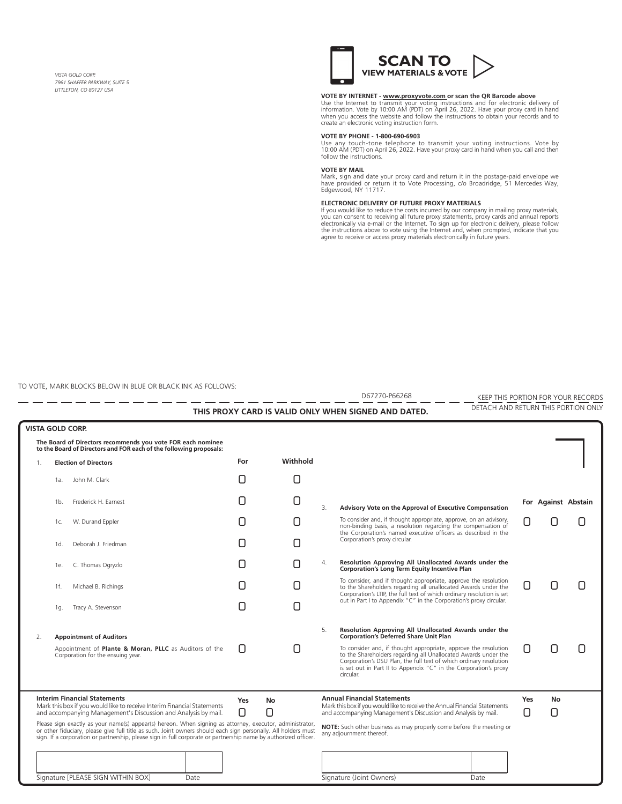*VISTA GOLD CORP. 7961 SHAFFER PARKWAY, SUITE 5 LITTLETON, CO 80127 USA* 



### **VOTE BY INTERNET - www.proxyvote.com or scan the QR Barcode above**

Use the Internet to transmit your voting instructions and for electronic delivery of information. Vote by 10:00 AM (PDT) on April 26, 2022. Have your proxy card in hand when you access the website and follow the instructions to obtain your records and to create an electronic voting instruction form.

#### **VOTE BY PHONE - 1-800-690-6903**

Use any touch-tone telephone to transmit your voting instructions. Vote by 10:00 AM (PDT) on April 26, 2022. Have your proxy card in hand when you call and then follow the instructions.

#### **VOTE BY MAIL**

Mark, sign and date your proxy card and return it in the postage-paid envelope we have provided or return it to Vote Processing, c/o Broadridge, 51 Mercedes Way, Edgewood, NY 11717.

#### **ELECTRONIC DELIVERY OF FUTURE PROXY MATERIALS**

If you would like to reduce the costs incurred by our company in mailing proxy materials,<br>you can consent to receiving all future proxy statements, proxy cards and annual reports electronically via e-mail or the Internet. To sign up for electronic delivery, please follow the instructions above to vote using the Internet and, when prompted, indicate that you agree to receive or access proxy materials electronically in future years.

TO VOTE, MARK BLOCKS BELOW IN BLUE OR BLACK INK AS FOLLOWS:

Signature [PLEASE SIGN WITHIN BOX] Date Date Signature (Joint Owners) Date KEEP THIS PORTION FOR YOUR RECORDS DETACH AND RETURN THIS PORTION ONLY **THIS PROXY CARD IS VALID ONLY WHEN SIGNED AND DATED.** D67270-P66268 **For Against Abstain**  $\Box$   $\Box$  $\Box$  $\Box$  $\Box$   $\Box$  $\Box$  $\Box$   $\Box$  $\Box$   $\Box$ ! ! ! ! ! ! ! ! ! !  $\Box$   $\Box$  $\Box$  .  $\Box$ **VISTA GOLD CORP.** 1. **Election of Directors** 2. **Appointment of Auditors** Appointment of **Plante & Moran, PLLC** as Auditors of the Corporation for the ensuing year. 3. **Advisory Vote on the Approval of Executive Compensation** To consider and, if thought appropriate, approve, on an advisory, non-binding basis, a resolution regarding the compensation of the Corporation's named executive officers as described in the Corporation's proxy circular. **The Board of Directors recommends you vote FOR each nominee to the Board of Directors and FOR each of the following proposals:** 1f. Michael B. Richings 1e. C. Thomas Ogryzlo 1d. Deborah J. Friedman 1c. W. Durand Eppler 1b. Frederick H. Earnest 1g. Tracy A. Stevenson 1a. John M. Clark Please sign exactly as your name(s) appear(s) hereon. When signing as attorney, executor, administrator, or other fiduciary, please give full title as such. Joint owners should each sign personally. All holders must sign. If a corporation or partnership, please sign in full corporate or partnership name by authorized officer. **Interim Financial Statements** Mark this box if you would like to receive Interim Financial Statements and accompanying Management's Discussion and Analysis by mail. **NOTE:** Such other business as may properly come before the meeting or any adjournment thereof. **Annual Financial Statements** Mark this box if you would like to receive the Annual Financial Statements and accompanying Management's Discussion and Analysis by mail. ! ! ! ! 4. **Resolution Approving All Unallocated Awards under the Corporation's Long Term Equity Incentive Plan** To consider, and if thought appropriate, approve the resolution to the Shareholders regarding all unallocated Awards under the Corporation's LTIP, the full text of which ordinary resolution is set out in Part I to Appendix "C" in the Corporation's proxy circular. 5. **Resolution Approving All Unallocated Awards under the Corporation's Deferred Share Unit Plan** To consider and, if thought appropriate, approve the resolution to the Shareholders regarding all Unallocated Awards under the Corporation's DSU Plan, the full text of which ordinary resolution is set out in Part II to Appendix "C" in the Corporation's proxy circular. **For Withhold Yes No Yes No**